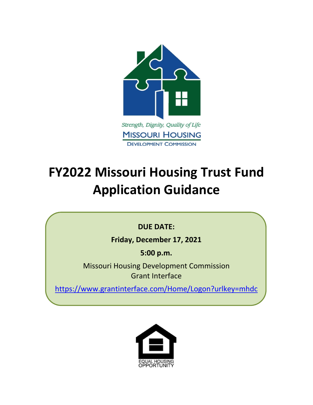

# **FY2022 Missouri Housing Trust Fund Application Guidance**

# **DUE DATE:**

**Friday, December 17, 2021**

**5:00 p.m.**

Missouri Housing Development Commission Grant Interface

https://www.grantinterface.com/Home/Logon?urlkey=mhdc

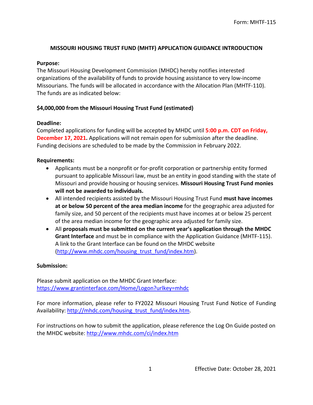#### **MISSOURI HOUSING TRUST FUND (MHTF) APPLICATION GUIDANCE INTRODUCTION**

#### **Purpose:**

The Missouri Housing Development Commission (MHDC) hereby notifies interested organizations of the availability of funds to provide housing assistance to very low-income Missourians. The funds will be allocated in accordance with the Allocation Plan (MHTF-110). The funds are as indicated below:

#### **\$4,000,000 from the Missouri Housing Trust Fund (estimated)**

#### **Deadline:**

Completed applications for funding will be accepted by MHDC until **5:00 p.m. CDT on Friday, December 17, 2021.** Applications will not remain open for submission after the deadline. Funding decisions are scheduled to be made by the Commission in February 2022.

#### **Requirements:**

- Applicants must be a nonprofit or for-profit corporation or partnership entity formed pursuant to applicable Missouri law, must be an entity in good standing with the state of Missouri and provide housing or housing services. **Missouri Housing Trust Fund monies will not be awarded to individuals.**
- All intended recipients assisted by the Missouri Housing Trust Fund **must have incomes at or below 50 percent of the area median income** for the geographic area adjusted for family size, and 50 percent of the recipients must have incomes at or below 25 percent of the area median income for the geographic area adjusted for family size.
- All **proposals must be submitted on the current year's application through the MHDC Grant Interface** and must be in compliance with the Application Guidance (MHTF-115). A link to the Grant Interface can be found on the MHDC website (http://www.mhdc.com/housing\_trust\_fund/index.htm).

#### **Submission:**

Please submit application on the MHDC Grant Interface: https://www.grantinterface.com/Home/Logon?urlkey=mhdc

For more information, please refer to FY2022 Missouri Housing Trust Fund Notice of Funding Availability: http://mhdc.com/housing\_trust\_fund/index.htm.

For instructions on how to submit the application, please reference the Log On Guide posted on the MHDC website: http://www.mhdc.com/ci/index.htm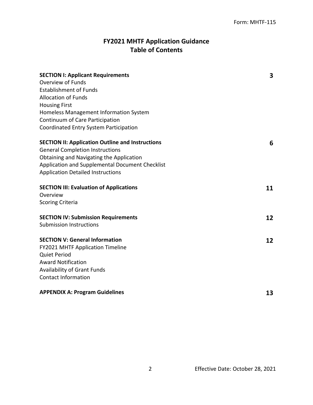# **FY2021 MHTF Application Guidance Table of Contents**

| <b>SECTION I: Applicant Requirements</b>                | 3  |
|---------------------------------------------------------|----|
| Overview of Funds                                       |    |
| <b>Establishment of Funds</b>                           |    |
| <b>Allocation of Funds</b>                              |    |
| <b>Housing First</b>                                    |    |
| Homeless Management Information System                  |    |
| Continuum of Care Participation                         |    |
| Coordinated Entry System Participation                  |    |
| <b>SECTION II: Application Outline and Instructions</b> | 6  |
| <b>General Completion Instructions</b>                  |    |
| Obtaining and Navigating the Application                |    |
| Application and Supplemental Document Checklist         |    |
| <b>Application Detailed Instructions</b>                |    |
| <b>SECTION III: Evaluation of Applications</b>          | 11 |
| Overview                                                |    |
| <b>Scoring Criteria</b>                                 |    |
| <b>SECTION IV: Submission Requirements</b>              | 12 |
| <b>Submission Instructions</b>                          |    |
| <b>SECTION V: General Information</b>                   | 12 |
| FY2021 MHTF Application Timeline                        |    |
| <b>Quiet Period</b>                                     |    |
| <b>Award Notification</b>                               |    |
| <b>Availability of Grant Funds</b>                      |    |
| <b>Contact Information</b>                              |    |
| <b>APPENDIX A: Program Guidelines</b>                   | 13 |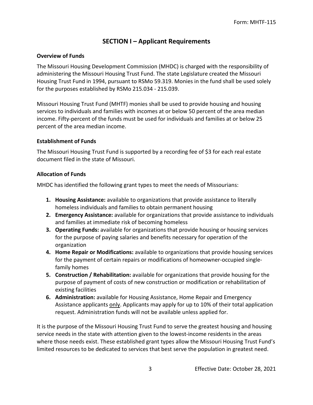# **SECTION I – Applicant Requirements**

#### **Overview of Funds**

The Missouri Housing Development Commission (MHDC) is charged with the responsibility of administering the Missouri Housing Trust Fund. The state Legislature created the Missouri Housing Trust Fund in 1994, pursuant to RSMo 59.319. Monies in the fund shall be used solely for the purposes established by RSMo 215.034 - 215.039.

Missouri Housing Trust Fund (MHTF) monies shall be used to provide housing and housing services to individuals and families with incomes at or below 50 percent of the area median income. Fifty-percent of the funds must be used for individuals and families at or below 25 percent of the area median income.

#### **Establishment of Funds**

The Missouri Housing Trust Fund is supported by a recording fee of \$3 for each real estate document filed in the state of Missouri.

#### **Allocation of Funds**

MHDC has identified the following grant types to meet the needs of Missourians:

- **1. Housing Assistance:** available to organizations that provide assistance to literally homeless individuals and families to obtain permanent housing
- **2. Emergency Assistance:** available for organizations that provide assistance to individuals and families at immediate risk of becoming homeless
- **3. Operating Funds:** available for organizations that provide housing or housing services for the purpose of paying salaries and benefits necessary for operation of the organization
- **4. Home Repair or Modifications:** available to organizations that provide housing services for the payment of certain repairs or modifications of homeowner-occupied singlefamily homes
- **5. Construction / Rehabilitation:** available for organizations that provide housing for the purpose of payment of costs of new construction or modification or rehabilitation of existing facilities
- **6. Administration:** available for Housing Assistance, Home Repair and Emergency Assistance applicants only. Applicants may apply for up to 10% of their total application request. Administration funds will not be available unless applied for.

It is the purpose of the Missouri Housing Trust Fund to serve the greatest housing and housing service needs in the state with attention given to the lowest-income residents in the areas where those needs exist. These established grant types allow the Missouri Housing Trust Fund's limited resources to be dedicated to services that best serve the population in greatest need.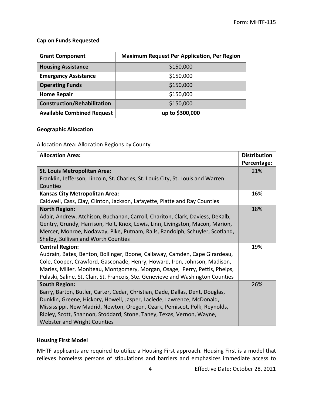#### **Cap on Funds Requested**

| <b>Grant Component</b>             | <b>Maximum Request Per Application, Per Region</b> |
|------------------------------------|----------------------------------------------------|
| <b>Housing Assistance</b>          | \$150,000                                          |
| <b>Emergency Assistance</b>        | \$150,000                                          |
| <b>Operating Funds</b>             | \$150,000                                          |
| <b>Home Repair</b>                 | \$150,000                                          |
| <b>Construction/Rehabilitation</b> | \$150,000                                          |
| <b>Available Combined Request</b>  | up to \$300,000                                    |

#### **Geographic Allocation**

Allocation Area: Allocation Regions by County

| <b>Allocation Area:</b>                                                          | <b>Distribution</b> |
|----------------------------------------------------------------------------------|---------------------|
|                                                                                  | Percentage:         |
| <b>St. Louis Metropolitan Area:</b>                                              | 21%                 |
| Franklin, Jefferson, Lincoln, St. Charles, St. Louis City, St. Louis and Warren  |                     |
| Counties                                                                         |                     |
| <b>Kansas City Metropolitan Area:</b>                                            | 16%                 |
| Caldwell, Cass, Clay, Clinton, Jackson, Lafayette, Platte and Ray Counties       |                     |
| <b>North Region:</b>                                                             | 18%                 |
| Adair, Andrew, Atchison, Buchanan, Carroll, Chariton, Clark, Daviess, DeKalb,    |                     |
| Gentry, Grundy, Harrison, Holt, Knox, Lewis, Linn, Livingston, Macon, Marion,    |                     |
| Mercer, Monroe, Nodaway, Pike, Putnam, Ralls, Randolph, Schuyler, Scotland,      |                     |
| Shelby, Sullivan and Worth Counties                                              |                     |
| <b>Central Region:</b>                                                           | 19%                 |
| Audrain, Bates, Benton, Bollinger, Boone, Callaway, Camden, Cape Girardeau,      |                     |
| Cole, Cooper, Crawford, Gasconade, Henry, Howard, Iron, Johnson, Madison,        |                     |
| Maries, Miller, Moniteau, Montgomery, Morgan, Osage, Perry, Pettis, Phelps,      |                     |
| Pulaski, Saline, St. Clair, St. Francois, Ste. Genevieve and Washington Counties |                     |
| <b>South Region:</b>                                                             | 26%                 |
| Barry, Barton, Butler, Carter, Cedar, Christian, Dade, Dallas, Dent, Douglas,    |                     |
| Dunklin, Greene, Hickory, Howell, Jasper, Laclede, Lawrence, McDonald,           |                     |
| Mississippi, New Madrid, Newton, Oregon, Ozark, Pemiscot, Polk, Reynolds,        |                     |
| Ripley, Scott, Shannon, Stoddard, Stone, Taney, Texas, Vernon, Wayne,            |                     |
| Webster and Wright Counties                                                      |                     |

#### **Housing First Model**

MHTF applicants are required to utilize a Housing First approach. Housing First is a model that relieves homeless persons of stipulations and barriers and emphasizes immediate access to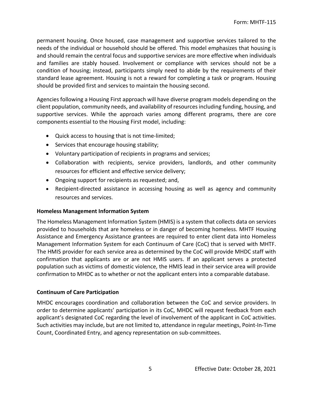permanent housing. Once housed, case management and supportive services tailored to the needs of the individual or household should be offered. This model emphasizes that housing is and should remain the central focus and supportive services are more effective when individuals and families are stably housed. Involvement or compliance with services should not be a condition of housing; instead, participants simply need to abide by the requirements of their standard lease agreement. Housing is not a reward for completing a task or program. Housing should be provided first and services to maintain the housing second.

Agencies following a Housing First approach will have diverse program models depending on the client population, community needs, and availability of resources including funding, housing, and supportive services. While the approach varies among different programs, there are core components essential to the Housing First model, including:

- Quick access to housing that is not time-limited;
- Services that encourage housing stability;
- Voluntary participation of recipients in programs and services;
- Collaboration with recipients, service providers, landlords, and other community resources for efficient and effective service delivery;
- Ongoing support for recipients as requested; and,
- Recipient-directed assistance in accessing housing as well as agency and community resources and services.

#### **Homeless Management Information System**

The Homeless Management Information System (HMIS) is a system that collects data on services provided to households that are homeless or in danger of becoming homeless. MHTF Housing Assistance and Emergency Assistance grantees are required to enter client data into Homeless Management Information System for each Continuum of Care (CoC) that is served with MHTF. The HMIS provider for each service area as determined by the CoC will provide MHDC staff with confirmation that applicants are or are not HMIS users. If an applicant serves a protected population such as victims of domestic violence, the HMIS lead in their service area will provide confirmation to MHDC as to whether or not the applicant enters into a comparable database.

#### **Continuum of Care Participation**

MHDC encourages coordination and collaboration between the CoC and service providers. In order to determine applicants' participation in its CoC, MHDC will request feedback from each applicant's designated CoC regarding the level of involvement of the applicant in CoC activities. Such activities may include, but are not limited to, attendance in regular meetings, Point-In-Time Count, Coordinated Entry, and agency representation on sub-committees.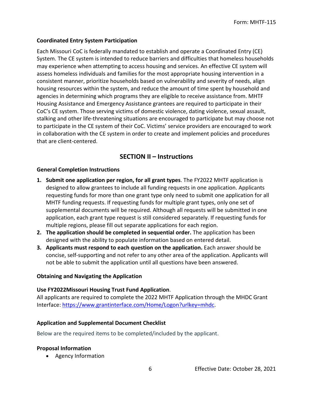#### **Coordinated Entry System Participation**

Each Missouri CoC is federally mandated to establish and operate a Coordinated Entry (CE) System. The CE system is intended to reduce barriers and difficulties that homeless households may experience when attempting to access housing and services. An effective CE system will assess homeless individuals and families for the most appropriate housing intervention in a consistent manner, prioritize households based on vulnerability and severity of needs, align housing resources within the system, and reduce the amount of time spent by household and agencies in determining which programs they are eligible to receive assistance from. MHTF Housing Assistance and Emergency Assistance grantees are required to participate in their CoC's CE system. Those serving victims of domestic violence, dating violence, sexual assault, stalking and other life-threatening situations are encouraged to participate but may choose not to participate in the CE system of their CoC. Victims' service providers are encouraged to work in collaboration with the CE system in order to create and implement policies and procedures that are client-centered.

# **SECTION II – Instructions**

#### **General Completion Instructions**

- **1. Submit one application per region, for all grant types**. The FY2022 MHTF application is designed to allow grantees to include all funding requests in one application. Applicants requesting funds for more than one grant type only need to submit one application for all MHTF funding requests. If requesting funds for multiple grant types, only one set of supplemental documents will be required. Although all requests will be submitted in one application, each grant type request is still considered separately. If requesting funds for multiple regions, please fill out separate applications for each region.
- **2. The application should be completed in sequential order.** The application has been designed with the ability to populate information based on entered detail.
- **3. Applicants must respond to each question on the application.** Each answer should be concise, self-supporting and not refer to any other area of the application. Applicants will not be able to submit the application until all questions have been answered.

#### **Obtaining and Navigating the Application**

#### **Use FY2022Missouri Housing Trust Fund Application**.

All applicants are required to complete the 2022 MHTF Application through the MHDC Grant Interface: https://www.grantinterface.com/Home/Logon?urlkey=mhdc.

#### **Application and Supplemental Document Checklist**

Below are the required items to be completed/included by the applicant.

#### **Proposal Information**

• Agency Information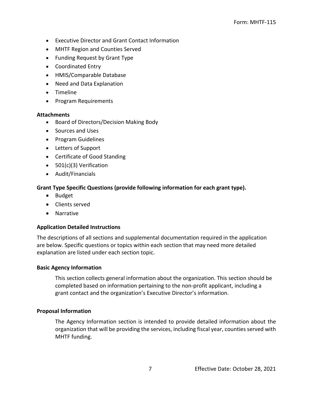- Executive Director and Grant Contact Information
- MHTF Region and Counties Served
- Funding Request by Grant Type
- Coordinated Entry
- HMIS/Comparable Database
- Need and Data Explanation
- Timeline
- Program Requirements

#### **Attachments**

- Board of Directors/Decision Making Body
- Sources and Uses
- Program Guidelines
- Letters of Support
- Certificate of Good Standing
- 501(c)(3) Verification
- Audit/Financials

### **Grant Type Specific Questions (provide following information for each grant type).**

- Budget
- Clients served
- Narrative

#### **Application Detailed Instructions**

The descriptions of all sections and supplemental documentation required in the application are below. Specific questions or topics within each section that may need more detailed explanation are listed under each section topic.

#### **Basic Agency Information**

This section collects general information about the organization. This section should be completed based on information pertaining to the non-profit applicant, including a grant contact and the organization's Executive Director's information.

#### **Proposal Information**

The Agency Information section is intended to provide detailed information about the organization that will be providing the services, including fiscal year, counties served with MHTF funding.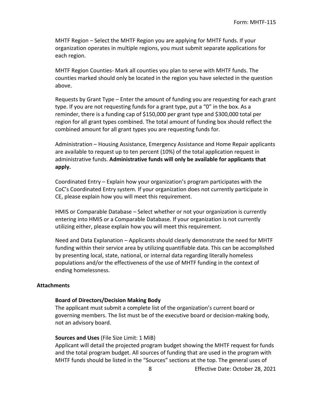MHTF Region – Select the MHTF Region you are applying for MHTF funds. If your organization operates in multiple regions, you must submit separate applications for each region.

MHTF Region Counties- Mark all counties you plan to serve with MHTF funds. The counties marked should only be located in the region you have selected in the question above.

Requests by Grant Type – Enter the amount of funding you are requesting for each grant type. If you are not requesting funds for a grant type, put a "0" in the box. As a reminder, there is a funding cap of \$150,000 per grant type and \$300,000 total per region for all grant types combined. The total amount of funding box should reflect the combined amount for all grant types you are requesting funds for.

Administration – Housing Assistance, Emergency Assistance and Home Repair applicants are available to request up to ten percent (10%) of the total application request in administrative funds. **Administrative funds will only be available for applicants that apply.**

Coordinated Entry – Explain how your organization's program participates with the CoC's Coordinated Entry system. If your organization does not currently participate in CE, please explain how you will meet this requirement.

HMIS or Comparable Database – Select whether or not your organization is currently entering into HMIS or a Comparable Database. If your organization is not currently utilizing either, please explain how you will meet this requirement.

Need and Data Explanation – Applicants should clearly demonstrate the need for MHTF funding within their service area by utilizing quantifiable data. This can be accomplished by presenting local, state, national, or internal data regarding literally homeless populations and/or the effectiveness of the use of MHTF funding in the context of ending homelessness.

#### **Attachments**

#### **Board of Directors/Decision Making Body**

The applicant must submit a complete list of the organization's current board or governing members. The list must be of the executive board or decision-making body, not an advisory board.

#### **Sources and Uses** (File Size Limit: 1 MiB)

Applicant will detail the projected program budget showing the MHTF request for funds and the total program budget. All sources of funding that are used in the program with MHTF funds should be listed in the "Sources" sections at the top. The general uses of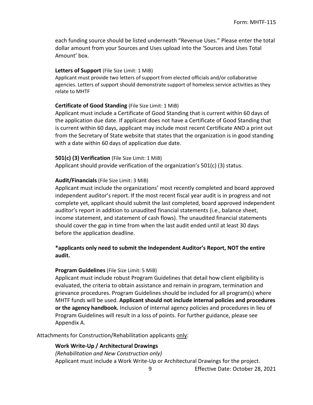each funding source should be listed underneath "Revenue Uses." Please enter the total dollar amount from your Sources and Uses upload into the 'Sources and Uses Total Amount' box.

#### **Letters of Support** (File Size Limit: 1 MiB)

Applicant must provide two letters of support from elected officials and/or collaborative agencies. Letters of support should demonstrate support of homeless service activities as they relate to MHTF

#### **Certificate of Good Standing** (File Size Limit: 1 MiB)

Applicant must include a Certificate of Good Standing that is current within 60 days of the application due date. If applicant does not have a Certificate of Good Standing that is current within 60 days, applicant may include most recent Certificate AND a print out from the Secretary of State website that states that the organization is in good standing with a date within 60 days of application due date.

#### **501(c) (3) Verification** (File Size Limit: 1 MiB)

Applicant should provide verification of the organization's 501(c) (3) status.

#### **Audit/Financials** (File Size Limit: 3 MiB)

Applicant must include the organizations' most recently completed and board approved independent auditor's report. If the most recent fiscal year audit is in progress and not complete yet, applicant should submit the last completed, board approved independent auditor's report in addition to unaudited financial statements (i.e., balance sheet, income statement, and statement of cash flows). The unaudited financial statements should cover the gap in time from when the last audit ended until at least 30 days before the application deadline.

#### **\*applicants only need to submit the Independent Auditor's Report, NOT the entire audit.**

#### **Program Guidelines** (File Size Limit: 5 MiB)

Applicant must include robust Program Guidelines that detail how client eligibility is evaluated, the criteria to obtain assistance and remain in program, termination and grievance procedures. Program Guidelines should be included for all program(s) where MHTF funds will be used. **Applicant should not include internal policies and procedures or the agency handbook.** Inclusion of internal agency policies and procedures in lieu of Program Guidelines will result in a loss of points. For further guidance, please see Appendix A.

Attachments for Construction/Rehabilitation applicants only:

#### **Work Write-Up / Architectural Drawings**

*(Rehabilitation and New Construction only)* Applicant must include a Work Write-Up or Architectural Drawings for the project.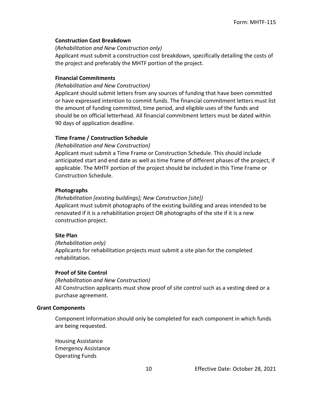#### **Construction Cost Breakdown**

(*Rehabilitation and New Construction only)*

Applicant must submit a construction cost breakdown, specifically detailing the costs of the project and preferably the MHTF portion of the project.

#### **Financial Commitments**

#### *(Rehabilitation and New Construction)*

Applicant should submit letters from any sources of funding that have been committed or have expressed intention to commit funds. The financial commitment letters must list the amount of funding committed, time period, and eligible uses of the funds and should be on official letterhead. All financial commitment letters must be dated within 90 days of application deadline.

#### **Time Frame / Construction Schedule**

#### *(Rehabilitation and New Construction)*

Applicant must submit a Time Frame or Construction Schedule. This should include anticipated start and end date as well as time frame of different phases of the project, if applicable. The MHTF portion of the project should be included in this Time Frame or Construction Schedule.

#### **Photographs**

#### *(Rehabilitation [existing buildings]; New Construction [site])* Applicant must submit photographs of the existing building and areas intended to be renovated if it is a rehabilitation project OR photographs of the site if it is a new construction project.

#### **Site Plan**

*(Rehabilitation only)*

Applicants for rehabilitation projects must submit a site plan for the completed rehabilitation.

#### **Proof of Site Control**

#### *(Rehabilitation and New Construction)*

All Construction applicants must show proof of site control such as a vesting deed or a purchase agreement.

#### **Grant Components**

Component Information should only be completed for each component in which funds are being requested.

Housing Assistance Emergency Assistance Operating Funds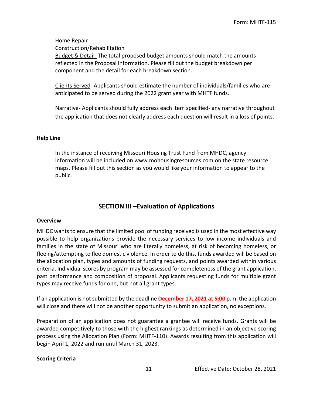Home Repair

Construction/Rehabilitation

Budget & Detail*-* The total proposed budget amounts should match the amounts reflected in the Proposal Information. Please fill out the budget breakdown per component and the detail for each breakdown section.

Clients Served- Applicants should estimate the number of individuals/families who are anticipated to be served during the 2022 grant year with MHTF funds.

Narrative**-** Applicants should fully address each item specified- any narrative throughout the application that does not clearly address each question will result in a loss of points.

#### **Help Line**

In the instance of receiving Missouri Housing Trust Fund from MHDC, agency information will be included on www.mohousingresources.com on the state resource maps. Please fill out this section as you would like your information to appear to the public.

# **SECTION III –Evaluation of Applications**

#### **Overview**

MHDC wants to ensure that the limited pool of funding received is used in the most effective way possible to help organizations provide the necessary services to low income individuals and families in the state of Missouri who are literally homeless, at risk of becoming homeless, or fleeing/attempting to flee domestic violence. In order to do this, funds awarded will be based on the allocation plan, types and amounts of funding requests, and points awarded within various criteria. Individual scores by program may be assessed for completeness of the grant application, past performance and composition of proposal. Applicants requesting funds for multiple grant types may receive funds for one, but not all grant types.

If an application is not submitted by the deadline **December 17, 2021 at 5:00** p.m. the application will close and there will not be another opportunity to submit an application, no exceptions.

Preparation of an application does not guarantee a grantee will receive funds. Grants will be awarded competitively to those with the highest rankings as determined in an objective scoring process using the Allocation Plan (Form: MHTF-110). Awards resulting from this application will begin April 1, 2022 and run until March 31, 2023.

#### **Scoring Criteria**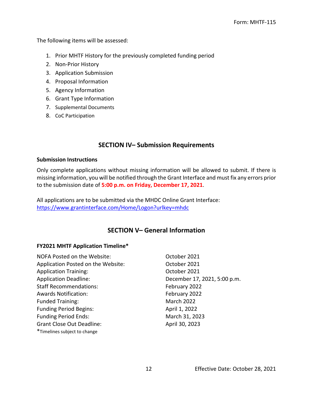The following items will be assessed:

- 1. Prior MHTF History for the previously completed funding period
- 2. Non-Prior History
- 3. Application Submission
- 4. Proposal Information
- 5. Agency Information
- 6. Grant Type Information
- 7. Supplemental Documents
- 8. CoC Participation

# **SECTION IV– Submission Requirements**

#### **Submission Instructions**

Only complete applications without missing information will be allowed to submit. If there is missing information, you will be notified through the Grant Interface and must fix any errors prior to the submission date of **5:00 p.m. on Friday, December 17, 2021**.

All applications are to be submitted via the MHDC Online Grant Interface: https://www.grantinterface.com/Home/Logon?urlkey=mhdc

# **SECTION V– General Information**

#### **FY2021 MHTF Application Timeline\***

| NOFA Posted on the Website:        | October 2021                 |
|------------------------------------|------------------------------|
| Application Posted on the Website: | October 2021                 |
| <b>Application Training:</b>       | October 2021                 |
| <b>Application Deadline:</b>       | December 17, 2021, 5:00 p.m. |
| <b>Staff Recommendations:</b>      | February 2022                |
| <b>Awards Notification:</b>        | February 2022                |
| <b>Funded Training:</b>            | <b>March 2022</b>            |
| <b>Funding Period Begins:</b>      | April 1, 2022                |
| <b>Funding Period Ends:</b>        | March 31, 2023               |
| <b>Grant Close Out Deadline:</b>   | April 30, 2023               |
| *Timelines subject to change       |                              |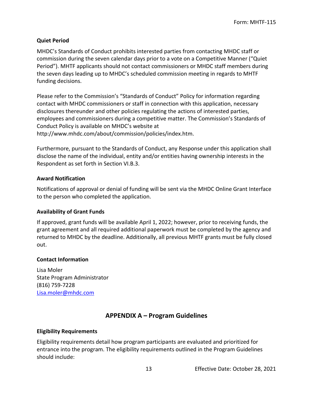#### **Quiet Period**

MHDC's Standards of Conduct prohibits interested parties from contacting MHDC staff or commission during the seven calendar days prior to a vote on a Competitive Manner ("Quiet Period"). MHTF applicants should not contact commissioners or MHDC staff members during the seven days leading up to MHDC's scheduled commission meeting in regards to MHTF funding decisions.

Please refer to the Commission's "Standards of Conduct" Policy for information regarding contact with MHDC commissioners or staff in connection with this application, necessary disclosures thereunder and other policies regulating the actions of interested parties, employees and commissioners during a competitive matter. The Commission's Standards of Conduct Policy is available on MHDC's website at http://www.mhdc.com/about/commission/policies/index.htm.

Furthermore, pursuant to the Standards of Conduct, any Response under this application shall disclose the name of the individual, entity and/or entities having ownership interests in the Respondent as set forth in Section VI.B.3.

#### **Award Notification**

Notifications of approval or denial of funding will be sent via the MHDC Online Grant Interface to the person who completed the application.

#### **Availability of Grant Funds**

If approved, grant funds will be available April 1, 2022; however, prior to receiving funds, the grant agreement and all required additional paperwork must be completed by the agency and returned to MHDC by the deadline. Additionally, all previous MHTF grants must be fully closed out.

#### **Contact Information**

Lisa Moler State Program Administrator (816) 759-7228 Lisa.moler@mhdc.com

# **APPENDIX A – Program Guidelines**

#### **Eligibility Requirements**

Eligibility requirements detail how program participants are evaluated and prioritized for entrance into the program. The eligibility requirements outlined in the Program Guidelines should include: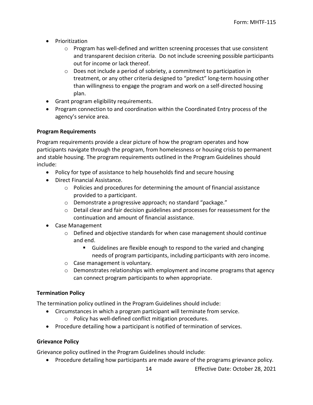- Prioritization
	- $\circ$  Program has well-defined and written screening processes that use consistent and transparent decision criteria. Do not include screening possible participants out for income or lack thereof.
	- o Does not include a period of sobriety, a commitment to participation in treatment, or any other criteria designed to "predict" long-term housing other than willingness to engage the program and work on a self-directed housing plan.
- Grant program eligibility requirements.
- Program connection to and coordination within the Coordinated Entry process of the agency's service area.

#### **Program Requirements**

Program requirements provide a clear picture of how the program operates and how participants navigate through the program, from homelessness or housing crisis to permanent and stable housing. The program requirements outlined in the Program Guidelines should include:

- Policy for type of assistance to help households find and secure housing
- Direct Financial Assistance.
	- o Policies and procedures for determining the amount of financial assistance provided to a participant.
	- o Demonstrate a progressive approach; no standard "package."
	- $\circ$  Detail clear and fair decision guidelines and processes for reassessment for the continuation and amount of financial assistance.
- Case Management
	- o Defined and objective standards for when case management should continue and end.
		- Guidelines are flexible enough to respond to the varied and changing needs of program participants, including participants with zero income.
	- o Case management is voluntary.
	- $\circ$  Demonstrates relationships with employment and income programs that agency can connect program participants to when appropriate.

#### **Termination Policy**

The termination policy outlined in the Program Guidelines should include:

- Circumstances in which a program participant will terminate from service.
	- o Policy has well-defined conflict mitigation procedures.
- Procedure detailing how a participant is notified of termination of services.

#### **Grievance Policy**

Grievance policy outlined in the Program Guidelines should include:

Procedure detailing how participants are made aware of the programs grievance policy.

14 Effective Date: October 28, 2021